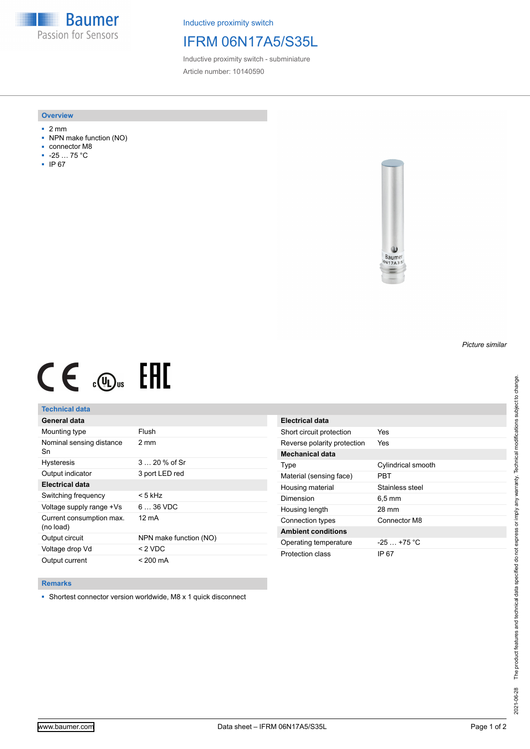**Baumer** Passion for Sensors

Inductive proximity switch

# IFRM 06N17A5/S35L

Inductive proximity switch - subminiature Article number: 10140590

### **Overview**

- 2 mm
- NPN make function (NO)
- connector M8
- -25 … 75 °C
- IP 67



# $CE \mathcal{L}$  (Dus FRE

## **Technical data**

| General data                          |                        |
|---------------------------------------|------------------------|
| Mounting type                         | Flush                  |
| Nominal sensing distance<br>Sn        | 2 mm                   |
| <b>Hysteresis</b>                     | $320%$ of Sr           |
| Output indicator                      | 3 port LED red         |
| Electrical data                       |                        |
| Switching frequency                   | < 5 kHz                |
| Voltage supply range +Vs              | $636$ VDC              |
| Current consumption max.<br>(no load) | 12 mA                  |
| Output circuit                        | NPN make function (NO) |
| Voltage drop Vd                       | $<$ 2 VDC              |
| Output current                        | $< 200 \text{ mA}$     |

| Electrical data             |                     |
|-----------------------------|---------------------|
| Short circuit protection    | Yes                 |
| Reverse polarity protection | Yes                 |
| Mechanical data             |                     |
| Type                        | Cylindrical smooth  |
| Material (sensing face)     | PRT                 |
| Housing material            | Stainless steel     |
| Dimension                   | $6.5 \,\mathrm{mm}$ |
| Housing length              | 28 mm               |
| Connection types            | Connector M8        |
| <b>Ambient conditions</b>   |                     |
| Operating temperature       | $-25 + 75$ °C       |
| Protection class            | IP 67               |

#### **Remarks**

■ Shortest connector version worldwide, M8 x 1 quick disconnect

*Picture similar*